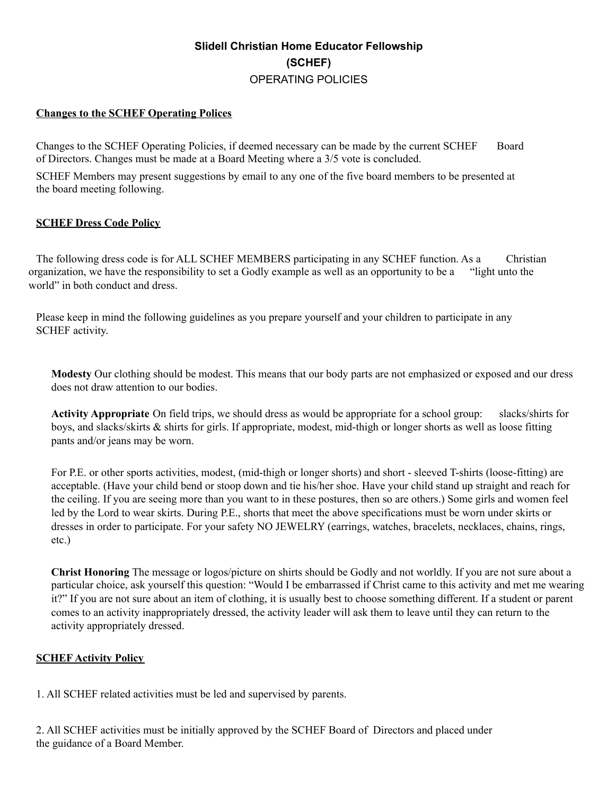# **Slidell Christian Home Educator Fellowship (SCHEF)** OPERATING POLICIES

# **Changes to the SCHEF Operating Polices**

Changes to the SCHEF Operating Policies, if deemed necessary can be made by the current SCHEF Board of Directors. Changes must be made at a Board Meeting where a 3/5 vote is concluded.

SCHEF Members may present suggestions by email to any one of the five board members to be presented at the board meeting following.

#### **SCHEF Dress Code Policy**

The following dress code is for ALL SCHEF MEMBERS participating in any SCHEF function. As a Christian organization, we have the responsibility to set a Godly example as well as an opportunity to be a "light unto the world" in both conduct and dress.

Please keep in mind the following guidelines as you prepare yourself and your children to participate in any SCHEF activity.

**Modesty** Our clothing should be modest. This means that our body parts are not emphasized or exposed and our dress does not draw attention to our bodies.

**Activity Appropriate** On field trips, we should dress as would be appropriate for a school group: slacks/shirts for boys, and slacks/skirts & shirts for girls. If appropriate, modest, mid-thigh or longer shorts as well as loose fitting pants and/or jeans may be worn.

For P.E. or other sports activities, modest, (mid-thigh or longer shorts) and short - sleeved T-shirts (loose-fitting) are acceptable. (Have your child bend or stoop down and tie his/her shoe. Have your child stand up straight and reach for the ceiling. If you are seeing more than you want to in these postures, then so are others.) Some girls and women feel led by the Lord to wear skirts. During P.E., shorts that meet the above specifications must be worn under skirts or dresses in order to participate. For your safety NO JEWELRY (earrings, watches, bracelets, necklaces, chains, rings, etc.)

**Christ Honoring** The message or logos/picture on shirts should be Godly and not worldly. If you are not sure about a particular choice, ask yourself this question: "Would I be embarrassed if Christ came to this activity and met me wearing it?" If you are not sure about an item of clothing, it is usually best to choose something different. If a student or parent comes to an activity inappropriately dressed, the activity leader will ask them to leave until they can return to the activity appropriately dressed.

# **SCHEF Activity Policy**

1. All SCHEF related activities must be led and supervised by parents.

2. All SCHEF activities must be initially approved by the SCHEF Board of Directors and placed under the guidance of a Board Member.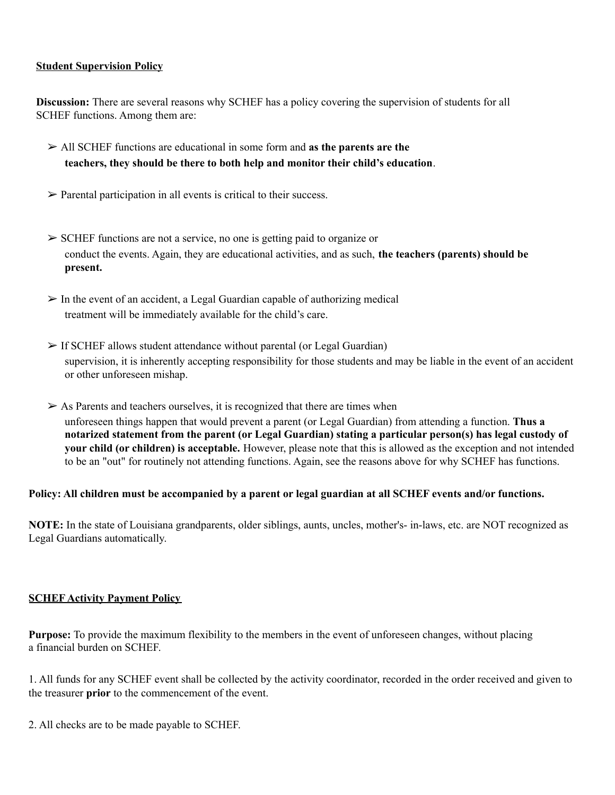# **Student Supervision Policy**

**Discussion:** There are several reasons why SCHEF has a policy covering the supervision of students for all SCHEF functions. Among them are:

- ➢ All SCHEF functions are educational in some form and **as the parents are the teachers, they should be there to both help and monitor their child's education**.
- $\triangleright$  Parental participation in all events is critical to their success.
- ➢ SCHEF functions are not a service, no one is getting paid to organize or conduct the events. Again, they are educational activities, and as such, **the teachers (parents) should be present.**
- $\triangleright$  In the event of an accident, a Legal Guardian capable of authorizing medical treatment will be immediately available for the child's care.
- $\triangleright$  If SCHEF allows student attendance without parental (or Legal Guardian) supervision, it is inherently accepting responsibility for those students and may be liable in the event of an accident or other unforeseen mishap.
- $\triangleright$  As Parents and teachers ourselves, it is recognized that there are times when unforeseen things happen that would prevent a parent (or Legal Guardian) from attending a function. **Thus a notarized statement from the parent (or Legal Guardian) stating a particular person(s) has legal custody of your child (or children) is acceptable.** However, please note that this is allowed as the exception and not intended to be an "out" for routinely not attending functions. Again, see the reasons above for why SCHEF has functions.

#### Policy: All children must be accompanied by a parent or legal guardian at all SCHEF events and/or functions.

**NOTE:** In the state of Louisiana grandparents, older siblings, aunts, uncles, mother's- in-laws, etc. are NOT recognized as Legal Guardians automatically.

#### **SCHEF Activity Payment Policy**

**Purpose:** To provide the maximum flexibility to the members in the event of unforeseen changes, without placing a financial burden on SCHEF.

1. All funds for any SCHEF event shall be collected by the activity coordinator, recorded in the order received and given to the treasurer **prior** to the commencement of the event.

2. All checks are to be made payable to SCHEF.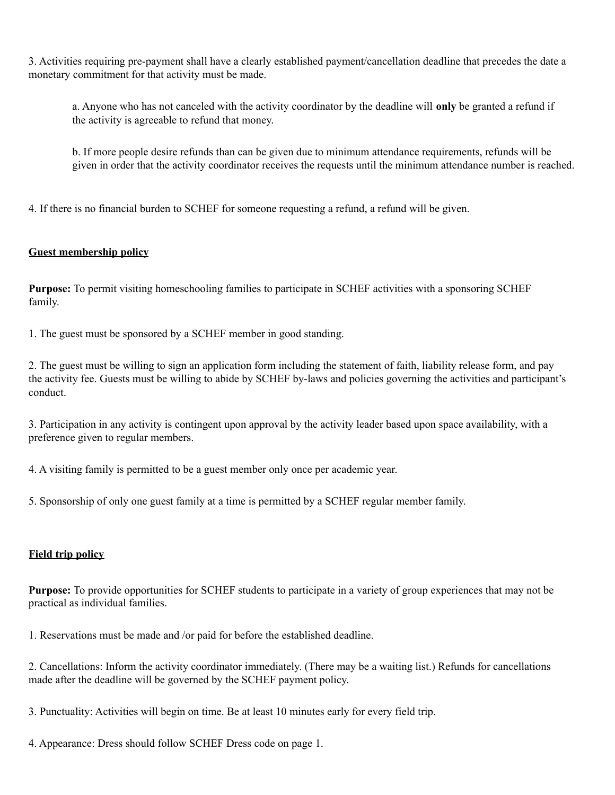3. Activities requiring pre-payment shall have a clearly established payment/cancellation deadline that precedes the date a monetary commitment for that activity must be made.

a. Anyone who has not canceled with the activity coordinator by the deadline will **only** be granted a refund if the activity is agreeable to refund that money.

b. If more people desire refunds than can be given due to minimum attendance requirements, refunds will be given in order that the activity coordinator receives the requests until the minimum attendance number is reached.

4. If there is no financial burden to SCHEF for someone requesting a refund, a refund will be given.

#### **Guest membership policy**

**Purpose:** To permit visiting homeschooling families to participate in SCHEF activities with a sponsoring SCHEF family.

1. The guest must be sponsored by a SCHEF member in good standing.

2. The guest must be willing to sign an application form including the statement of faith, liability release form, and pay the activity fee. Guests must be willing to abide by SCHEF by-laws and policies governing the activities and participant's conduct.

3. Participation in any activity is contingent upon approval by the activity leader based upon space availability, with a preference given to regular members.

4. A visiting family is permitted to be a guest member only once per academic year.

5. Sponsorship of only one guest family at a time is permitted by a SCHEF regular member family.

#### **Field trip policy**

**Purpose:** To provide opportunities for SCHEF students to participate in a variety of group experiences that may not be practical as individual families.

1. Reservations must be made and /or paid for before the established deadline.

2. Cancellations: Inform the activity coordinator immediately. (There may be a waiting list.) Refunds for cancellations made after the deadline will be governed by the SCHEF payment policy.

3. Punctuality: Activities will begin on time. Be at least 10 minutes early for every field trip.

4. Appearance: Dress should follow SCHEF Dress code on page 1.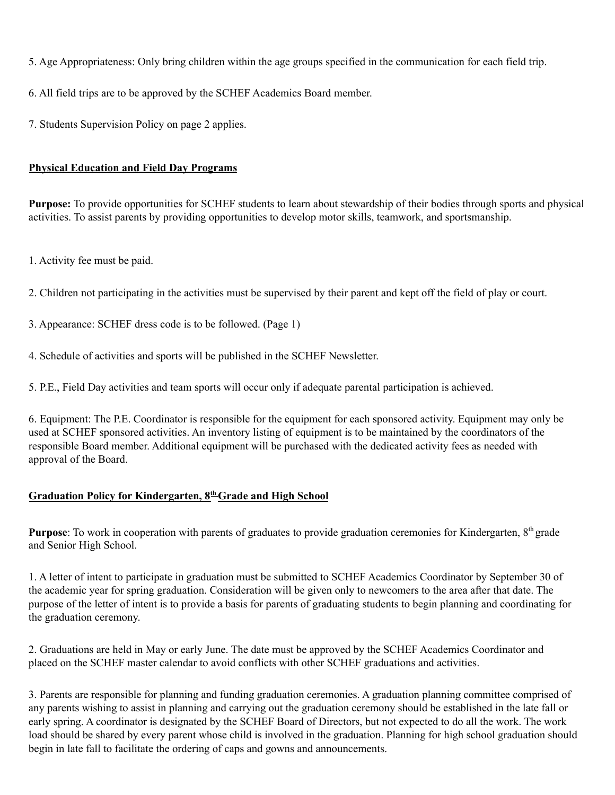- 5. Age Appropriateness: Only bring children within the age groups specified in the communication for each field trip.
- 6. All field trips are to be approved by the SCHEF Academics Board member.
- 7. Students Supervision Policy on page 2 applies.

# **Physical Education and Field Day Programs**

**Purpose:** To provide opportunities for SCHEF students to learn about stewardship of their bodies through sports and physical activities. To assist parents by providing opportunities to develop motor skills, teamwork, and sportsmanship.

- 1. Activity fee must be paid.
- 2. Children not participating in the activities must be supervised by their parent and kept off the field of play or court.
- 3. Appearance: SCHEF dress code is to be followed. (Page 1)
- 4. Schedule of activities and sports will be published in the SCHEF Newsletter.
- 5. P.E., Field Day activities and team sports will occur only if adequate parental participation is achieved.

6. Equipment: The P.E. Coordinator is responsible for the equipment for each sponsored activity. Equipment may only be used at SCHEF sponsored activities. An inventory listing of equipment is to be maintained by the coordinators of the responsible Board member. Additional equipment will be purchased with the dedicated activity fees as needed with approval of the Board.

# **Graduation Policy for Kindergarten, 8 thGrade and High School**

Purpose: To work in cooperation with parents of graduates to provide graduation ceremonies for Kindergarten, 8<sup>th</sup> grade and Senior High School.

1. A letter of intent to participate in graduation must be submitted to SCHEF Academics Coordinator by September 30 of the academic year for spring graduation. Consideration will be given only to newcomers to the area after that date. The purpose of the letter of intent is to provide a basis for parents of graduating students to begin planning and coordinating for the graduation ceremony.

2. Graduations are held in May or early June. The date must be approved by the SCHEF Academics Coordinator and placed on the SCHEF master calendar to avoid conflicts with other SCHEF graduations and activities.

3. Parents are responsible for planning and funding graduation ceremonies. A graduation planning committee comprised of any parents wishing to assist in planning and carrying out the graduation ceremony should be established in the late fall or early spring. A coordinator is designated by the SCHEF Board of Directors, but not expected to do all the work. The work load should be shared by every parent whose child is involved in the graduation. Planning for high school graduation should begin in late fall to facilitate the ordering of caps and gowns and announcements.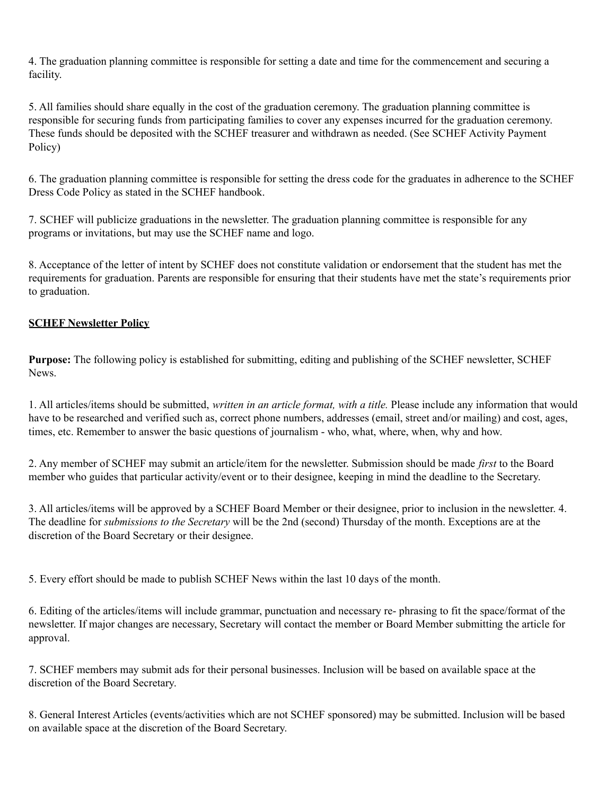4. The graduation planning committee is responsible for setting a date and time for the commencement and securing a facility.

5. All families should share equally in the cost of the graduation ceremony. The graduation planning committee is responsible for securing funds from participating families to cover any expenses incurred for the graduation ceremony. These funds should be deposited with the SCHEF treasurer and withdrawn as needed. (See SCHEF Activity Payment Policy)

6. The graduation planning committee is responsible for setting the dress code for the graduates in adherence to the SCHEF Dress Code Policy as stated in the SCHEF handbook.

7. SCHEF will publicize graduations in the newsletter. The graduation planning committee is responsible for any programs or invitations, but may use the SCHEF name and logo.

8. Acceptance of the letter of intent by SCHEF does not constitute validation or endorsement that the student has met the requirements for graduation. Parents are responsible for ensuring that their students have met the state's requirements prior to graduation.

# **SCHEF Newsletter Policy**

**Purpose:** The following policy is established for submitting, editing and publishing of the SCHEF newsletter, SCHEF **News**.

1. All articles/items should be submitted, *written in an article format, with a title.* Please include any information that would have to be researched and verified such as, correct phone numbers, addresses (email, street and/or mailing) and cost, ages, times, etc. Remember to answer the basic questions of journalism - who, what, where, when, why and how.

2. Any member of SCHEF may submit an article/item for the newsletter. Submission should be made *first* to the Board member who guides that particular activity/event or to their designee, keeping in mind the deadline to the Secretary.

3. All articles/items will be approved by a SCHEF Board Member or their designee, prior to inclusion in the newsletter. 4. The deadline for *submissions to the Secretary* will be the 2nd (second) Thursday of the month. Exceptions are at the discretion of the Board Secretary or their designee.

5. Every effort should be made to publish SCHEF News within the last 10 days of the month.

6. Editing of the articles/items will include grammar, punctuation and necessary re- phrasing to fit the space/format of the newsletter. If major changes are necessary, Secretary will contact the member or Board Member submitting the article for approval.

7. SCHEF members may submit ads for their personal businesses. Inclusion will be based on available space at the discretion of the Board Secretary.

8. General Interest Articles (events/activities which are not SCHEF sponsored) may be submitted. Inclusion will be based on available space at the discretion of the Board Secretary.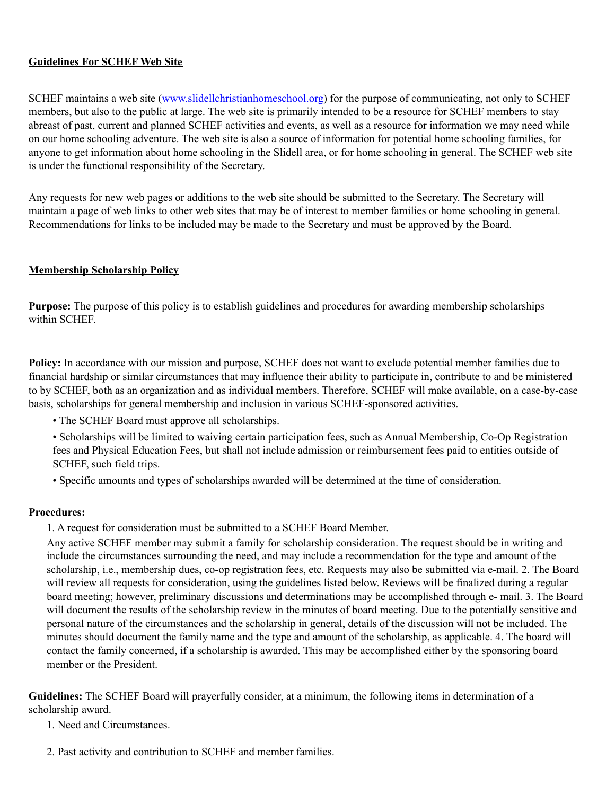#### **Guidelines For SCHEF Web Site**

SCHEF maintains a web site (www.slidellchristianhomeschool.org) for the purpose of communicating, not only to SCHEF members, but also to the public at large. The web site is primarily intended to be a resource for SCHEF members to stay abreast of past, current and planned SCHEF activities and events, as well as a resource for information we may need while on our home schooling adventure. The web site is also a source of information for potential home schooling families, for anyone to get information about home schooling in the Slidell area, or for home schooling in general. The SCHEF web site is under the functional responsibility of the Secretary.

Any requests for new web pages or additions to the web site should be submitted to the Secretary. The Secretary will maintain a page of web links to other web sites that may be of interest to member families or home schooling in general. Recommendations for links to be included may be made to the Secretary and must be approved by the Board.

#### **Membership Scholarship Policy**

**Purpose:** The purpose of this policy is to establish guidelines and procedures for awarding membership scholarships within SCHEF.

**Policy:** In accordance with our mission and purpose, SCHEF does not want to exclude potential member families due to financial hardship or similar circumstances that may influence their ability to participate in, contribute to and be ministered to by SCHEF, both as an organization and as individual members. Therefore, SCHEF will make available, on a case-by-case basis, scholarships for general membership and inclusion in various SCHEF-sponsored activities.

- The SCHEF Board must approve all scholarships.
- Scholarships will be limited to waiving certain participation fees, such as Annual Membership, Co-Op Registration fees and Physical Education Fees, but shall not include admission or reimbursement fees paid to entities outside of SCHEF, such field trips.
- Specific amounts and types of scholarships awarded will be determined at the time of consideration.

#### **Procedures:**

1. A request for consideration must be submitted to a SCHEF Board Member.

Any active SCHEF member may submit a family for scholarship consideration. The request should be in writing and include the circumstances surrounding the need, and may include a recommendation for the type and amount of the scholarship, i.e., membership dues, co-op registration fees, etc. Requests may also be submitted via e-mail. 2. The Board will review all requests for consideration, using the guidelines listed below. Reviews will be finalized during a regular board meeting; however, preliminary discussions and determinations may be accomplished through e- mail. 3. The Board will document the results of the scholarship review in the minutes of board meeting. Due to the potentially sensitive and personal nature of the circumstances and the scholarship in general, details of the discussion will not be included. The minutes should document the family name and the type and amount of the scholarship, as applicable. 4. The board will contact the family concerned, if a scholarship is awarded. This may be accomplished either by the sponsoring board member or the President.

**Guidelines:** The SCHEF Board will prayerfully consider, at a minimum, the following items in determination of a scholarship award.

- 1. Need and Circumstances.
- 2. Past activity and contribution to SCHEF and member families.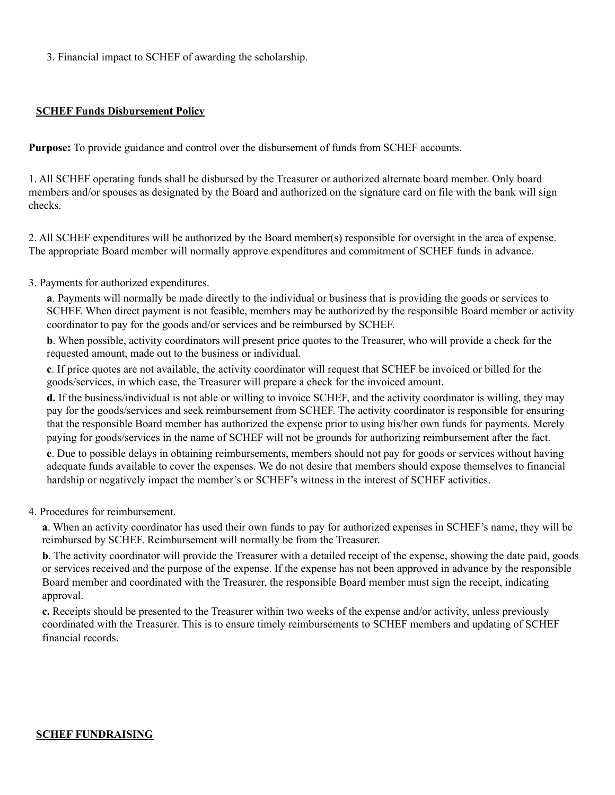3. Financial impact to SCHEF of awarding the scholarship.

#### **SCHEF Funds Disbursement Policy**

**Purpose:** To provide guidance and control over the disbursement of funds from SCHEF accounts.

1. All SCHEF operating funds shall be disbursed by the Treasurer or authorized alternate board member. Only board members and/or spouses as designated by the Board and authorized on the signature card on file with the bank will sign checks.

2. All SCHEF expenditures will be authorized by the Board member(s) responsible for oversight in the area of expense. The appropriate Board member will normally approve expenditures and commitment of SCHEF funds in advance.

#### 3. Payments for authorized expenditures.

**a**. Payments will normally be made directly to the individual or business that is providing the goods or services to SCHEF. When direct payment is not feasible, members may be authorized by the responsible Board member or activity coordinator to pay for the goods and/or services and be reimbursed by SCHEF.

**b**. When possible, activity coordinators will present price quotes to the Treasurer, who will provide a check for the requested amount, made out to the business or individual.

**c**. If price quotes are not available, the activity coordinator will request that SCHEF be invoiced or billed for the goods/services, in which case, the Treasurer will prepare a check for the invoiced amount.

**d.** If the business/individual is not able or willing to invoice SCHEF, and the activity coordinator is willing, they may pay for the goods/services and seek reimbursement from SCHEF. The activity coordinator is responsible for ensuring that the responsible Board member has authorized the expense prior to using his/her own funds for payments. Merely paying for goods/services in the name of SCHEF will not be grounds for authorizing reimbursement after the fact.

**e**. Due to possible delays in obtaining reimbursements, members should not pay for goods or services without having adequate funds available to cover the expenses. We do not desire that members should expose themselves to financial hardship or negatively impact the member's or SCHEF's witness in the interest of SCHEF activities.

#### 4. Procedures for reimbursement.

**a**. When an activity coordinator has used their own funds to pay for authorized expenses in SCHEF's name, they will be reimbursed by SCHEF. Reimbursement will normally be from the Treasurer.

**b**. The activity coordinator will provide the Treasurer with a detailed receipt of the expense, showing the date paid, goods or services received and the purpose of the expense. If the expense has not been approved in advance by the responsible Board member and coordinated with the Treasurer, the responsible Board member must sign the receipt, indicating approval.

**c.** Receipts should be presented to the Treasurer within two weeks of the expense and/or activity, unless previously coordinated with the Treasurer. This is to ensure timely reimbursements to SCHEF members and updating of SCHEF financial records.

#### **SCHEF FUNDRAISING**